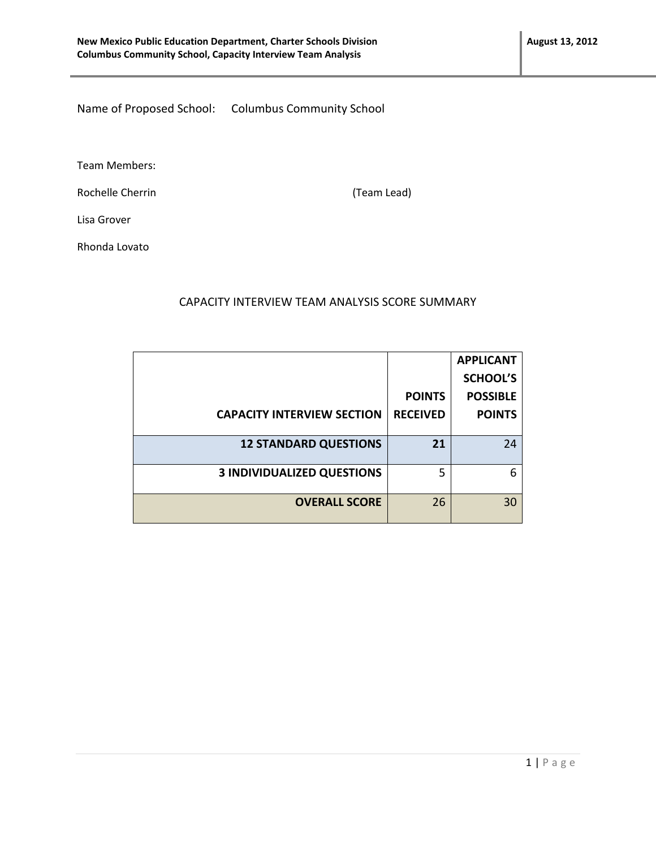Name of Proposed School: Columbus Community School

Team Members:

Rochelle Cherrin **Manual** (Team Lead)

Lisa Grover

Rhonda Lovato

## CAPACITY INTERVIEW TEAM ANALYSIS SCORE SUMMARY

|                                   |                 | <b>APPLICANT</b><br><b>SCHOOL'S</b> |
|-----------------------------------|-----------------|-------------------------------------|
|                                   | <b>POINTS</b>   | <b>POSSIBLE</b>                     |
| <b>CAPACITY INTERVIEW SECTION</b> | <b>RECEIVED</b> | <b>POINTS</b>                       |
| <b>12 STANDARD QUESTIONS</b>      | 21              | 24                                  |
| <b>3 INDIVIDUALIZED QUESTIONS</b> | 5               | 6                                   |
| <b>OVERALL SCORE</b>              | 26              | 30                                  |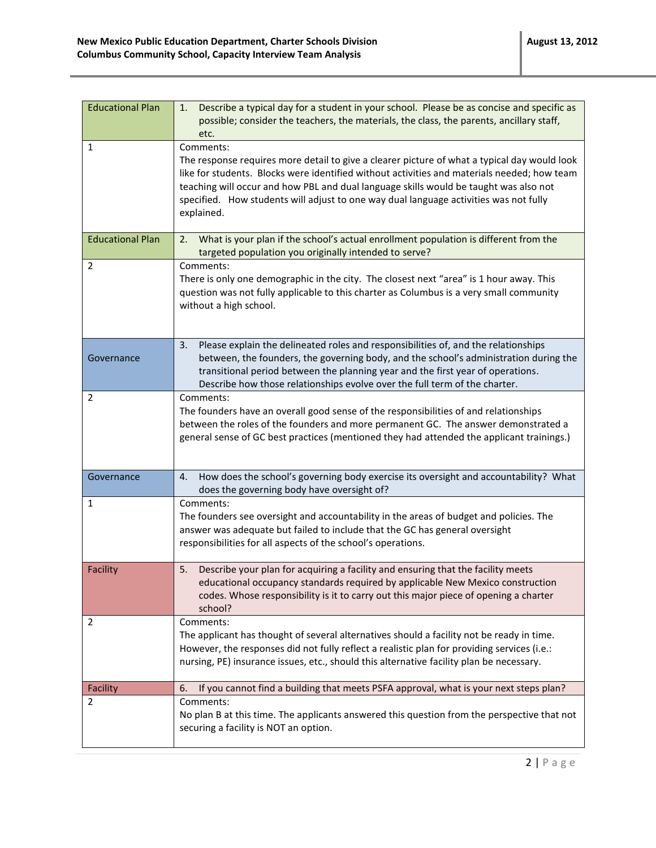| <b>Educational Plan</b> | Describe a typical day for a student in your school. Please be as concise and specific as<br>1.<br>possible; consider the teachers, the materials, the class, the parents, ancillary staff,<br>etc.                                                                                                                                                                                                      |
|-------------------------|----------------------------------------------------------------------------------------------------------------------------------------------------------------------------------------------------------------------------------------------------------------------------------------------------------------------------------------------------------------------------------------------------------|
| 1                       | Comments:<br>The response requires more detail to give a clearer picture of what a typical day would look<br>like for students. Blocks were identified without activities and materials needed; how team<br>teaching will occur and how PBL and dual language skills would be taught was also not<br>specified. How students will adjust to one way dual language activities was not fully<br>explained. |
| <b>Educational Plan</b> | What is your plan if the school's actual enrollment population is different from the<br>2.<br>targeted population you originally intended to serve?                                                                                                                                                                                                                                                      |
| $\overline{2}$          | Comments:<br>There is only one demographic in the city. The closest next "area" is 1 hour away. This<br>question was not fully applicable to this charter as Columbus is a very small community<br>without a high school.                                                                                                                                                                                |
| Governance              | Please explain the delineated roles and responsibilities of, and the relationships<br>3.<br>between, the founders, the governing body, and the school's administration during the<br>transitional period between the planning year and the first year of operations.<br>Describe how those relationships evolve over the full term of the charter.                                                       |
| 2                       | Comments:<br>The founders have an overall good sense of the responsibilities of and relationships<br>between the roles of the founders and more permanent GC. The answer demonstrated a<br>general sense of GC best practices (mentioned they had attended the applicant trainings.)                                                                                                                     |
| Governance              | How does the school's governing body exercise its oversight and accountability? What<br>4.<br>does the governing body have oversight of?                                                                                                                                                                                                                                                                 |
| 1                       | Comments:<br>The founders see oversight and accountability in the areas of budget and policies. The<br>answer was adequate but failed to include that the GC has general oversight<br>responsibilities for all aspects of the school's operations.                                                                                                                                                       |
| Facility                | Describe your plan for acquiring a facility and ensuring that the facility meets<br>5.<br>educational occupancy standards required by applicable New Mexico construction<br>codes. Whose responsibility is it to carry out this major piece of opening a charter<br>school?                                                                                                                              |
| 2                       | Comments:<br>The applicant has thought of several alternatives should a facility not be ready in time.<br>However, the responses did not fully reflect a realistic plan for providing services (i.e.:<br>nursing, PE) insurance issues, etc., should this alternative facility plan be necessary.                                                                                                        |
| Facility                | 6.<br>If you cannot find a building that meets PSFA approval, what is your next steps plan?                                                                                                                                                                                                                                                                                                              |
| 2                       | Comments:<br>No plan B at this time. The applicants answered this question from the perspective that not<br>securing a facility is NOT an option.                                                                                                                                                                                                                                                        |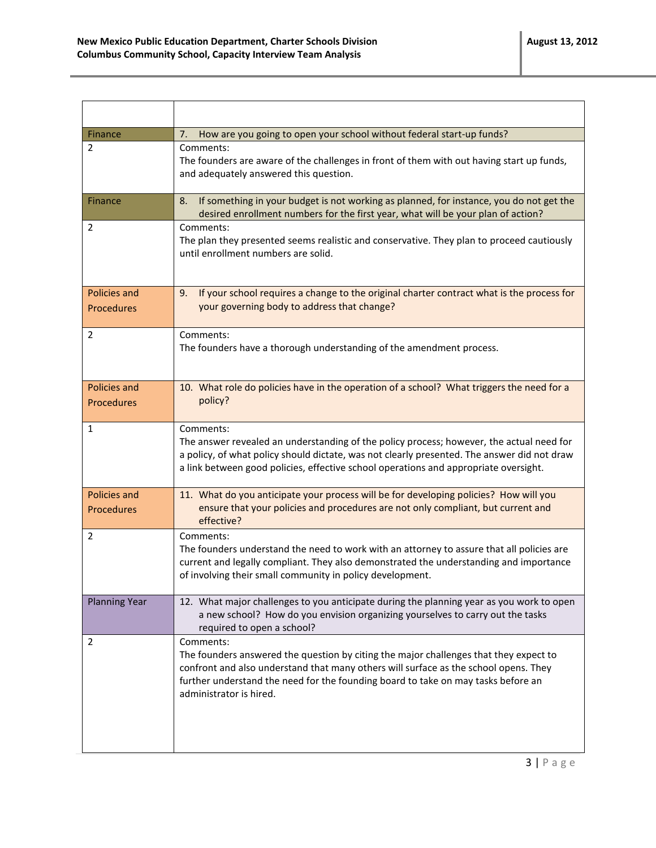| Finance                                  | How are you going to open your school without federal start-up funds?<br>7.                                                                                                                                                                                                                                |
|------------------------------------------|------------------------------------------------------------------------------------------------------------------------------------------------------------------------------------------------------------------------------------------------------------------------------------------------------------|
| 2                                        | Comments:<br>The founders are aware of the challenges in front of them with out having start up funds,<br>and adequately answered this question.                                                                                                                                                           |
| Finance                                  | If something in your budget is not working as planned, for instance, you do not get the<br>8.<br>desired enrollment numbers for the first year, what will be your plan of action?                                                                                                                          |
| 2                                        | Comments:<br>The plan they presented seems realistic and conservative. They plan to proceed cautiously<br>until enrollment numbers are solid.                                                                                                                                                              |
| Policies and<br>Procedures               | If your school requires a change to the original charter contract what is the process for<br>9.<br>your governing body to address that change?                                                                                                                                                             |
| 2                                        | Comments:<br>The founders have a thorough understanding of the amendment process.                                                                                                                                                                                                                          |
| Policies and<br><b>Procedures</b>        | 10. What role do policies have in the operation of a school? What triggers the need for a<br>policy?                                                                                                                                                                                                       |
| $\mathbf{1}$                             | Comments:<br>The answer revealed an understanding of the policy process; however, the actual need for<br>a policy, of what policy should dictate, was not clearly presented. The answer did not draw<br>a link between good policies, effective school operations and appropriate oversight.               |
| <b>Policies and</b><br><b>Procedures</b> | 11. What do you anticipate your process will be for developing policies? How will you<br>ensure that your policies and procedures are not only compliant, but current and<br>effective?                                                                                                                    |
| 2                                        | Comments:<br>The founders understand the need to work with an attorney to assure that all policies are<br>current and legally compliant. They also demonstrated the understanding and importance<br>of involving their small community in policy development.                                              |
| <b>Planning Year</b>                     | 12. What major challenges to you anticipate during the planning year as you work to open<br>a new school? How do you envision organizing yourselves to carry out the tasks<br>required to open a school?                                                                                                   |
| 2                                        | Comments:<br>The founders answered the question by citing the major challenges that they expect to<br>confront and also understand that many others will surface as the school opens. They<br>further understand the need for the founding board to take on may tasks before an<br>administrator is hired. |